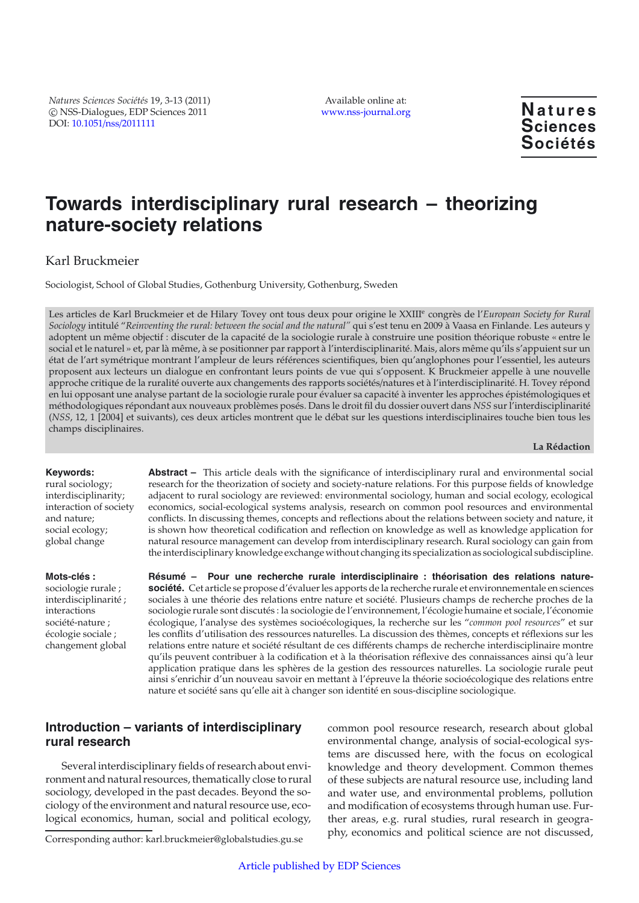*Natures Sciences Sociétés* 19, 3-13 (2011) -c NSS-Dialogues, EDP Sciences 2011 DOI: 10.1051/nss/[2011111](http://dx.doi.org/10.1051/nss/2011111)

Available online at: [www.nss-journal.org](http://www.nss-journal.org) **Natures** 

**Sciences Sociétés**

# **Towards interdisciplinary rural research – theorizing nature-society relations**

# Karl Bruckmeier

Sociologist, School of Global Studies, Gothenburg University, Gothenburg, Sweden

Les articles de Karl Bruckmeier et de Hilary Tovey ont tous deux pour origine le XXIII<sup>e</sup> congrès de l'*European Society for Rural Sociology* intitulé "*Reinventing the rural: between the social and the natural"* qui s'est tenu en 2009 à Vaasa en Finlande. Les auteurs y adoptent un même objectif : discuter de la capacité de la sociologie rurale à construire une position théorique robuste « entre le social et le naturel » et, par là même, à se positionner par rapport à l'interdisciplinarité. Mais, alors même qu<sup>7</sup>ils s'appuient sur un état de l'art symétrique montrant l'ampleur de leurs références scientifiques, bien qu'anglophones pour l'essentiel, les auteurs proposent aux lecteurs un dialogue en confrontant leurs points de vue qui s'opposent. K Bruckmeier appelle à une nouvelle approche critique de la ruralité ouverte aux changements des rapports sociétés/natures et à l'interdisciplinarité. H. Tovey répond en lui opposant une analyse partant de la sociologie rurale pour évaluer sa capacité à inventer les approches épistémologiques et méthodologiques répondant aux nouveaux problèmes posés. Dans le droit fil du dossier ouvert dans *NSS* sur l'interdisciplinarité (*NSS*, 12, 1 [2004] et suivants), ces deux articles montrent que le débat sur les questions interdisciplinaires touche bien tous les champs disciplinaires.

#### **La Rédaction**

#### **Keywords:**

rural sociology; interdisciplinarity; interaction of society and nature; social ecology; global change

### **Mots-clés :**

sociologie rurale ; interdisciplinarité ; interactions société-nature ; écologie sociale ; changement global

**Abstract –** This article deals with the significance of interdisciplinary rural and environmental social research for the theorization of society and society-nature relations. For this purpose fields of knowledge adjacent to rural sociology are reviewed: environmental sociology, human and social ecology, ecological economics, social-ecological systems analysis, research on common pool resources and environmental conflicts. In discussing themes, concepts and reflections about the relations between society and nature, it is shown how theoretical codification and reflection on knowledge as well as knowledge application for natural resource management can develop from interdisciplinary research. Rural sociology can gain from the interdisciplinary knowledge exchange without changing its specialization as sociological subdiscipline.

**Résumé – Pour une recherche rurale interdisciplinaire : théorisation des relations naturesociété.** Cet article se propose d'évaluer les apports de la recherche rurale et environnementale en sciences sociales à une théorie des relations entre nature et société. Plusieurs champs de recherche proches de la sociologie rurale sont discutés : la sociologie de l'environnement, l'écologie humaine et sociale, l'économie écologique, l'analyse des systèmes socioécologiques, la recherche sur les "*common pool resources*" et sur les conflits d'utilisation des ressources naturelles. La discussion des thèmes, concepts et réflexions sur les relations entre nature et société résultant de ces différents champs de recherche interdisciplinaire montre qu'ils peuvent contribuer à la codification et à la théorisation réflexive des connaissances ainsi qu'à leur application pratique dans les sphères de la gestion des ressources naturelles. La sociologie rurale peut ainsi s'enrichir d'un nouveau savoir en mettant à l'épreuve la théorie socioécologique des relations entre nature et société sans qu'elle ait à changer son identité en sous-discipline sociologique.

# **Introduction – variants of interdisciplinary rural research**

Several interdisciplinary fields of research about environment and natural resources, thematically close to rural sociology, developed in the past decades. Beyond the sociology of the environment and natural resource use, ecological economics, human, social and political ecology, common pool resource research, research about global environmental change, analysis of social-ecological systems are discussed here, with the focus on ecological knowledge and theory development. Common themes of these subjects are natural resource use, including land and water use, and environmental problems, pollution and modification of ecosystems through human use. Further areas, e.g. rural studies, rural research in geography, economics and political science are not discussed,

Corresponding author: karl.bruckmeier@globalstudies.gu.se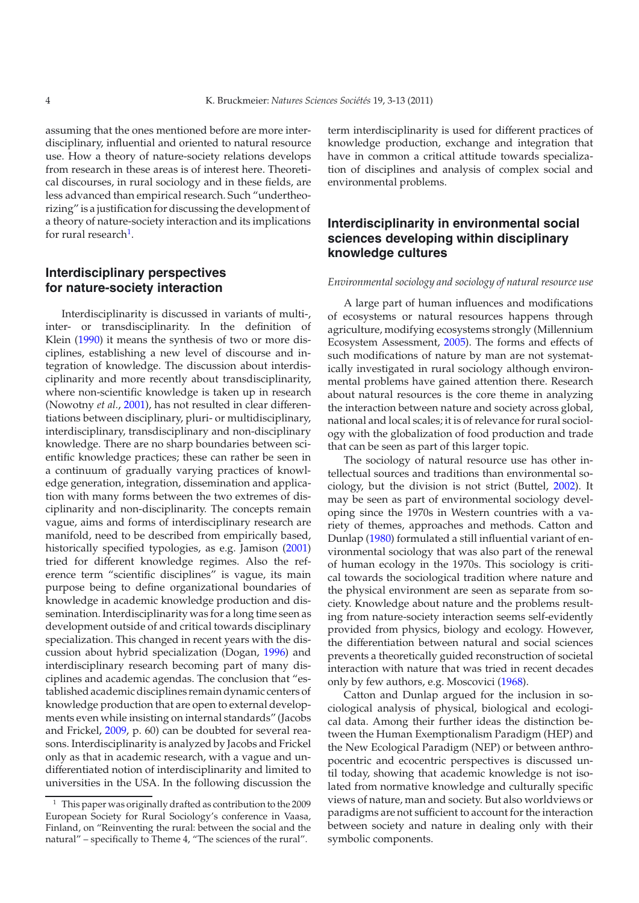assuming that the ones mentioned before are more interdisciplinary, influential and oriented to natural resource use. How a theory of nature-society relations develops from research in these areas is of interest here. Theoretical discourses, in rural sociology and in these fields, are less advanced than empirical research. Such "undertheorizing" is a justification for discussing the development of a theory of nature-society interaction and its implications for rural research<sup>1</sup>.

## **Interdisciplinary perspectives for nature-society interaction**

Interdisciplinarity is discussed in variants of multi-, inter- or transdisciplinarity. In the definition of Klein [\(1990\)](#page-9-0) it means the synthesis of two or more disciplines, establishing a new level of discourse and integration of knowledge. The discussion about interdisciplinarity and more recently about transdisciplinarity, where non-scientific knowledge is taken up in research (Nowotny *et al.*, [2001\)](#page-10-0), has not resulted in clear differentiations between disciplinary, pluri- or multidisciplinary, interdisciplinary, transdisciplinary and non-disciplinary knowledge. There are no sharp boundaries between scientific knowledge practices; these can rather be seen in a continuum of gradually varying practices of knowledge generation, integration, dissemination and application with many forms between the two extremes of disciplinarity and non-disciplinarity. The concepts remain vague, aims and forms of interdisciplinary research are manifold, need to be described from empirically based, historically specified typologies, as e.g. Jamison [\(2001\)](#page-9-1) tried for different knowledge regimes. Also the reference term "scientific disciplines" is vague, its main purpose being to define organizational boundaries of knowledge in academic knowledge production and dissemination. Interdisciplinarity was for a long time seen as development outside of and critical towards disciplinary specialization. This changed in recent years with the discussion about hybrid specialization (Dogan, [1996\)](#page-9-2) and interdisciplinary research becoming part of many disciplines and academic agendas. The conclusion that "established academic disciplines remain dynamic centers of knowledge production that are open to external developments even while insisting on internal standards" (Jacobs and Frickel, [2009,](#page-9-3) p. 60) can be doubted for several reasons. Interdisciplinarity is analyzed by Jacobs and Frickel only as that in academic research, with a vague and undifferentiated notion of interdisciplinarity and limited to universities in the USA. In the following discussion the term interdisciplinarity is used for different practices of knowledge production, exchange and integration that have in common a critical attitude towards specialization of disciplines and analysis of complex social and environmental problems.

# **Interdisciplinarity in environmental social sciences developing within disciplinary knowledge cultures**

### *Environmental sociology and sociology of natural resource use*

A large part of human influences and modifications of ecosystems or natural resources happens through agriculture, modifying ecosystems strongly (Millennium Ecosystem Assessment, [2005\)](#page-9-4). The forms and effects of such modifications of nature by man are not systematically investigated in rural sociology although environmental problems have gained attention there. Research about natural resources is the core theme in analyzing the interaction between nature and society across global, national and local scales; it is of relevance for rural sociology with the globalization of food production and trade that can be seen as part of this larger topic.

The sociology of natural resource use has other intellectual sources and traditions than environmental sociology, but the division is not strict (Buttel, [2002\)](#page-9-5). It may be seen as part of environmental sociology developing since the 1970s in Western countries with a variety of themes, approaches and methods. Catton and Dunlap [\(1980](#page-9-6)) formulated a still influential variant of environmental sociology that was also part of the renewal of human ecology in the 1970s. This sociology is critical towards the sociological tradition where nature and the physical environment are seen as separate from society. Knowledge about nature and the problems resulting from nature-society interaction seems self-evidently provided from physics, biology and ecology. However, the differentiation between natural and social sciences prevents a theoretically guided reconstruction of societal interaction with nature that was tried in recent decades only by few authors, e.g. Moscovici [\(1968\)](#page-10-1).

Catton and Dunlap argued for the inclusion in sociological analysis of physical, biological and ecological data. Among their further ideas the distinction between the Human Exemptionalism Paradigm (HEP) and the New Ecological Paradigm (NEP) or between anthropocentric and ecocentric perspectives is discussed until today, showing that academic knowledge is not isolated from normative knowledge and culturally specific views of nature, man and society. But also worldviews or paradigms are not sufficient to account for the interaction between society and nature in dealing only with their symbolic components.

<span id="page-1-0"></span><sup>1</sup> This paper was originally drafted as contribution to the 2009 European Society for Rural Sociology's conference in Vaasa, Finland, on "Reinventing the rural: between the social and the natural" – specifically to Theme 4, "The sciences of the rural".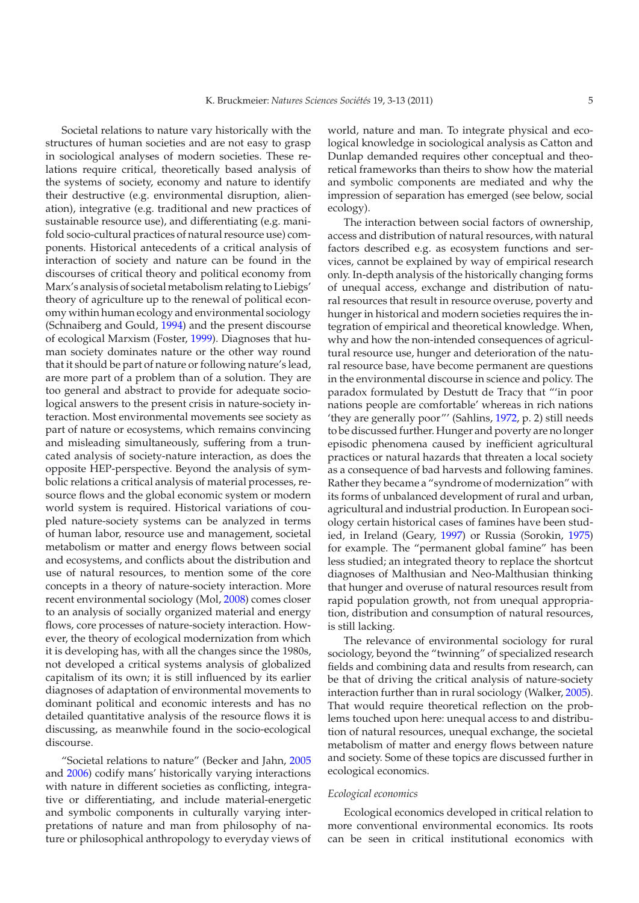Societal relations to nature vary historically with the structures of human societies and are not easy to grasp in sociological analyses of modern societies. These relations require critical, theoretically based analysis of the systems of society, economy and nature to identify their destructive (e.g. environmental disruption, alienation), integrative (e.g. traditional and new practices of sustainable resource use), and differentiating (e.g. manifold socio-cultural practices of natural resource use) components. Historical antecedents of a critical analysis of interaction of society and nature can be found in the discourses of critical theory and political economy from Marx's analysis of societal metabolism relating to Liebigs' theory of agriculture up to the renewal of political economy within human ecology and environmental sociology (Schnaiberg and Gould, [1994](#page-10-2)) and the present discourse of ecological Marxism (Foster, [1999\)](#page-9-7). Diagnoses that human society dominates nature or the other way round that it should be part of nature or following nature's lead, are more part of a problem than of a solution. They are too general and abstract to provide for adequate sociological answers to the present crisis in nature-society interaction. Most environmental movements see society as part of nature or ecosystems, which remains convincing and misleading simultaneously, suffering from a truncated analysis of society-nature interaction, as does the opposite HEP-perspective. Beyond the analysis of symbolic relations a critical analysis of material processes, resource flows and the global economic system or modern world system is required. Historical variations of coupled nature-society systems can be analyzed in terms of human labor, resource use and management, societal metabolism or matter and energy flows between social and ecosystems, and conflicts about the distribution and use of natural resources, to mention some of the core concepts in a theory of nature-society interaction. More recent environmental sociology (Mol, [2008\)](#page-9-8) comes closer to an analysis of socially organized material and energy flows, core processes of nature-society interaction. However, the theory of ecological modernization from which it is developing has, with all the changes since the 1980s, not developed a critical systems analysis of globalized capitalism of its own; it is still influenced by its earlier diagnoses of adaptation of environmental movements to dominant political and economic interests and has no detailed quantitative analysis of the resource flows it is discussing, as meanwhile found in the socio-ecological discourse.

"Societal relations to nature" (Becker and Jahn, [2005](#page-9-9) and [2006\)](#page-9-10) codify mans' historically varying interactions with nature in different societies as conflicting, integrative or differentiating, and include material-energetic and symbolic components in culturally varying interpretations of nature and man from philosophy of nature or philosophical anthropology to everyday views of world, nature and man. To integrate physical and ecological knowledge in sociological analysis as Catton and Dunlap demanded requires other conceptual and theoretical frameworks than theirs to show how the material and symbolic components are mediated and why the impression of separation has emerged (see below, social ecology).

The interaction between social factors of ownership, access and distribution of natural resources, with natural factors described e.g. as ecosystem functions and services, cannot be explained by way of empirical research only. In-depth analysis of the historically changing forms of unequal access, exchange and distribution of natural resources that result in resource overuse, poverty and hunger in historical and modern societies requires the integration of empirical and theoretical knowledge. When, why and how the non-intended consequences of agricultural resource use, hunger and deterioration of the natural resource base, have become permanent are questions in the environmental discourse in science and policy. The paradox formulated by Destutt de Tracy that "'in poor nations people are comfortable' whereas in rich nations 'they are generally poor"' (Sahlins, [1972,](#page-10-3) p. 2) still needs to be discussed further. Hunger and poverty are no longer episodic phenomena caused by inefficient agricultural practices or natural hazards that threaten a local society as a consequence of bad harvests and following famines. Rather they became a "syndrome of modernization" with its forms of unbalanced development of rural and urban, agricultural and industrial production. In European sociology certain historical cases of famines have been studied, in Ireland (Geary, [1997\)](#page-9-11) or Russia (Sorokin, [1975\)](#page-10-4) for example. The "permanent global famine" has been less studied; an integrated theory to replace the shortcut diagnoses of Malthusian and Neo-Malthusian thinking that hunger and overuse of natural resources result from rapid population growth, not from unequal appropriation, distribution and consumption of natural resources, is still lacking.

The relevance of environmental sociology for rural sociology, beyond the "twinning" of specialized research fields and combining data and results from research, can be that of driving the critical analysis of nature-society interaction further than in rural sociology (Walker, [2005\)](#page-10-5). That would require theoretical reflection on the problems touched upon here: unequal access to and distribution of natural resources, unequal exchange, the societal metabolism of matter and energy flows between nature and society. Some of these topics are discussed further in ecological economics.

#### *Ecological economics*

Ecological economics developed in critical relation to more conventional environmental economics. Its roots can be seen in critical institutional economics with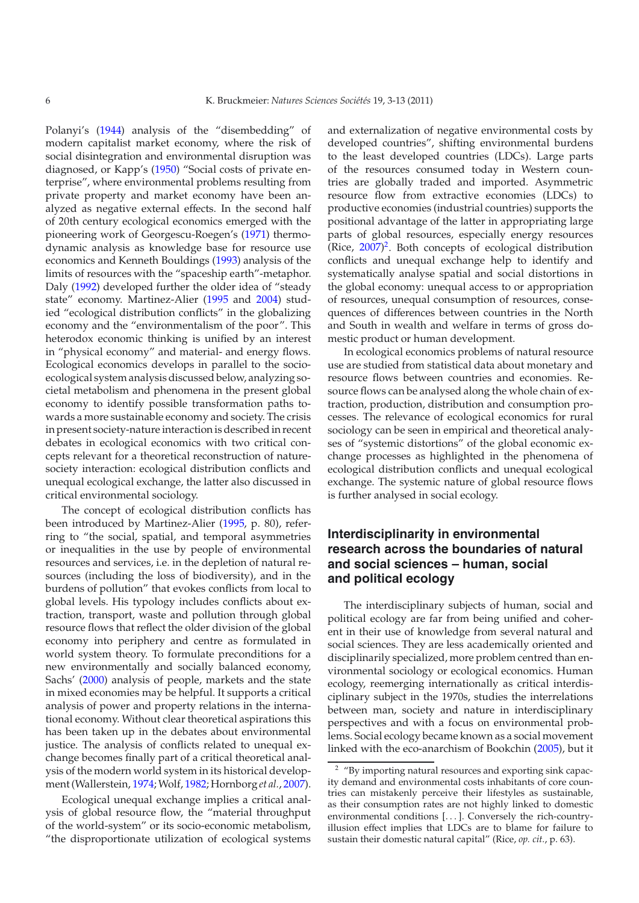Polanyi's [\(1944\)](#page-10-6) analysis of the "disembedding" of modern capitalist market economy, where the risk of social disintegration and environmental disruption was diagnosed, or Kapp's [\(1950](#page-9-12)) "Social costs of private enterprise", where environmental problems resulting from private property and market economy have been analyzed as negative external effects. In the second half of 20th century ecological economics emerged with the pioneering work of Georgescu-Roegen's [\(1971](#page-9-13)) thermodynamic analysis as knowledge base for resource use economics and Kenneth Bouldings [\(1993](#page-9-14)) analysis of the limits of resources with the "spaceship earth"-metaphor. Daly [\(1992\)](#page-9-15) developed further the older idea of "steady state" economy. Martinez-Alier [\(1995](#page-9-16) and [2004\)](#page-9-17) studied "ecological distribution conflicts" in the globalizing economy and the "environmentalism of the poor". This heterodox economic thinking is unified by an interest in "physical economy" and material- and energy flows. Ecological economics develops in parallel to the socioecological system analysis discussed below, analyzing societal metabolism and phenomena in the present global economy to identify possible transformation paths towards a more sustainable economy and society. The crisis in present society-nature interaction is described in recent debates in ecological economics with two critical concepts relevant for a theoretical reconstruction of naturesociety interaction: ecological distribution conflicts and unequal ecological exchange, the latter also discussed in critical environmental sociology.

The concept of ecological distribution conflicts has been introduced by Martinez-Alier [\(1995,](#page-9-16) p. 80), referring to "the social, spatial, and temporal asymmetries or inequalities in the use by people of environmental resources and services, i.e. in the depletion of natural resources (including the loss of biodiversity), and in the burdens of pollution" that evokes conflicts from local to global levels. His typology includes conflicts about extraction, transport, waste and pollution through global resource flows that reflect the older division of the global economy into periphery and centre as formulated in world system theory. To formulate preconditions for a new environmentally and socially balanced economy, Sachs' [\(2000\)](#page-10-7) analysis of people, markets and the state in mixed economies may be helpful. It supports a critical analysis of power and property relations in the international economy. Without clear theoretical aspirations this has been taken up in the debates about environmental justice. The analysis of conflicts related to unequal exchange becomes finally part of a critical theoretical analysis of the modern world system in its historical development (Wallerstein, [1974;](#page-10-8)Wolf, [1982](#page-10-9); Hornborg *et al.*, [2007](#page-9-18)).

Ecological unequal exchange implies a critical analysis of global resource flow, the "material throughput of the world-system" or its socio-economic metabolism, "the disproportionate utilization of ecological systems and externalization of negative environmental costs by developed countries", shifting environmental burdens to the least developed countries (LDCs). Large parts of the resources consumed today in Western countries are globally traded and imported. Asymmetric resource flow from extractive economies (LDCs) to productive economies (industrial countries) supports the positional advantage of the latter in appropriating large parts of global resources, especially energy resources (Rice, [2007\)](#page-10-10) [2](#page-3-0). Both concepts of ecological distribution conflicts and unequal exchange help to identify and systematically analyse spatial and social distortions in the global economy: unequal access to or appropriation of resources, unequal consumption of resources, consequences of differences between countries in the North and South in wealth and welfare in terms of gross domestic product or human development.

In ecological economics problems of natural resource use are studied from statistical data about monetary and resource flows between countries and economies. Resource flows can be analysed along the whole chain of extraction, production, distribution and consumption processes. The relevance of ecological economics for rural sociology can be seen in empirical and theoretical analyses of "systemic distortions" of the global economic exchange processes as highlighted in the phenomena of ecological distribution conflicts and unequal ecological exchange. The systemic nature of global resource flows is further analysed in social ecology.

# **Interdisciplinarity in environmental research across the boundaries of natural and social sciences – human, social and political ecology**

<span id="page-3-0"></span>The interdisciplinary subjects of human, social and political ecology are far from being unified and coherent in their use of knowledge from several natural and social sciences. They are less academically oriented and disciplinarily specialized, more problem centred than environmental sociology or ecological economics. Human ecology, reemerging internationally as critical interdisciplinary subject in the 1970s, studies the interrelations between man, society and nature in interdisciplinary perspectives and with a focus on environmental problems. Social ecology became known as a social movement linked with the eco-anarchism of Bookchin [\(2005\)](#page-9-19), but it

<sup>2</sup> "By importing natural resources and exporting sink capacity demand and environmental costs inhabitants of core countries can mistakenly perceive their lifestyles as sustainable, as their consumption rates are not highly linked to domestic environmental conditions [. . . ]. Conversely the rich-countryillusion effect implies that LDCs are to blame for failure to sustain their domestic natural capital" (Rice, *op. cit.*, p. 63).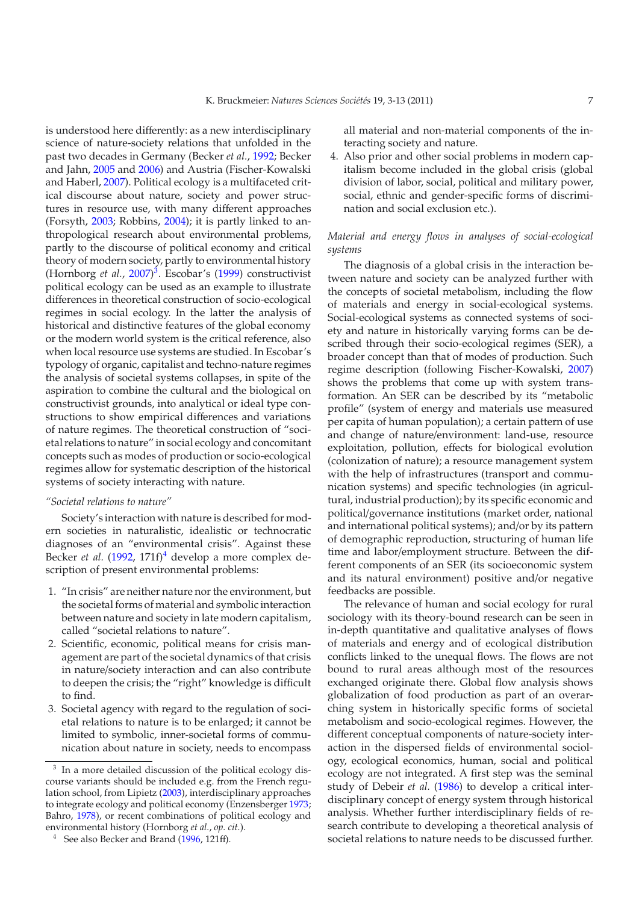is understood here differently: as a new interdisciplinary science of nature-society relations that unfolded in the past two decades in Germany (Becker *et al.*, [1992;](#page-9-20) Becker and Jahn, [2005](#page-9-9) and [2006](#page-9-10)) and Austria (Fischer-Kowalski and Haberl, [2007\)](#page-9-21). Political ecology is a multifaceted critical discourse about nature, society and power structures in resource use, with many different approaches (Forsyth, [2003;](#page-9-22) Robbins, [2004](#page-10-11)); it is partly linked to anthropological research about environmental problems, partly to the discourse of political economy and critical theory of modern society, partly to environmental history (Hornborg *et al.*, [2007](#page-9-18)) [3](#page-4-0). Escobar's [\(1999](#page-9-23)) constructivist political ecology can be used as an example to illustrate differences in theoretical construction of socio-ecological regimes in social ecology. In the latter the analysis of historical and distinctive features of the global economy or the modern world system is the critical reference, also when local resource use systems are studied. In Escobar's typology of organic, capitalist and techno-nature regimes the analysis of societal systems collapses, in spite of the aspiration to combine the cultural and the biological on constructivist grounds, into analytical or ideal type constructions to show empirical differences and variations of nature regimes. The theoretical construction of "societal relations to nature" in social ecology and concomitant concepts such as modes of production or socio-ecological regimes allow for systematic description of the historical systems of society interacting with nature.

### *"Societal relations to nature"*

Society's interaction with nature is described for modern societies in naturalistic, idealistic or technocratic diagnoses of an "environmental crisis". Against these Becker *et al.* [\(1992,](#page-9-20) 171f)<sup>[4](#page-4-1)</sup> develop a more complex description of present environmental problems:

- 1. "In crisis" are neither nature nor the environment, but the societal forms of material and symbolic interaction between nature and society in late modern capitalism, called "societal relations to nature".
- <span id="page-4-0"></span>2. Scientific, economic, political means for crisis management are part of the societal dynamics of that crisis in nature/society interaction and can also contribute to deepen the crisis; the "right" knowledge is difficult to find.
- <span id="page-4-1"></span>3. Societal agency with regard to the regulation of societal relations to nature is to be enlarged; it cannot be limited to symbolic, inner-societal forms of communication about nature in society, needs to encompass

all material and non-material components of the interacting society and nature.

4. Also prior and other social problems in modern capitalism become included in the global crisis (global division of labor, social, political and military power, social, ethnic and gender-specific forms of discrimination and social exclusion etc.).

### *Material and energy flows in analyses of social-ecological systems*

The diagnosis of a global crisis in the interaction between nature and society can be analyzed further with the concepts of societal metabolism, including the flow of materials and energy in social-ecological systems. Social-ecological systems as connected systems of society and nature in historically varying forms can be described through their socio-ecological regimes (SER), a broader concept than that of modes of production. Such regime description (following Fischer-Kowalski, [2007\)](#page-9-28) shows the problems that come up with system transformation. An SER can be described by its "metabolic profile" (system of energy and materials use measured per capita of human population); a certain pattern of use and change of nature/environment: land-use, resource exploitation, pollution, effects for biological evolution (colonization of nature); a resource management system with the help of infrastructures (transport and communication systems) and specific technologies (in agricultural, industrial production); by its specific economic and political/governance institutions (market order, national and international political systems); and/or by its pattern of demographic reproduction, structuring of human life time and labor/employment structure. Between the different components of an SER (its socioeconomic system and its natural environment) positive and/or negative feedbacks are possible.

The relevance of human and social ecology for rural sociology with its theory-bound research can be seen in in-depth quantitative and qualitative analyses of flows of materials and energy and of ecological distribution conflicts linked to the unequal flows. The flows are not bound to rural areas although most of the resources exchanged originate there. Global flow analysis shows globalization of food production as part of an overarching system in historically specific forms of societal metabolism and socio-ecological regimes. However, the different conceptual components of nature-society interaction in the dispersed fields of environmental sociology, ecological economics, human, social and political ecology are not integrated. A first step was the seminal study of Debeir *et al.* [\(1986\)](#page-9-29) to develop a critical interdisciplinary concept of energy system through historical analysis. Whether further interdisciplinary fields of research contribute to developing a theoretical analysis of societal relations to nature needs to be discussed further.

In a more detailed discussion of the political ecology discourse variants should be included e.g. from the French regulation school, from Lipietz [\(2003](#page-9-24)), interdisciplinary approaches to integrate ecology and political economy (Enzensberger [1973](#page-9-25); Bahro, [1978](#page-9-26)), or recent combinations of political ecology and environmental history (Hornborg *et al.*, *op. cit.*).

See also Becker and Brand [\(1996,](#page-9-27) 121ff).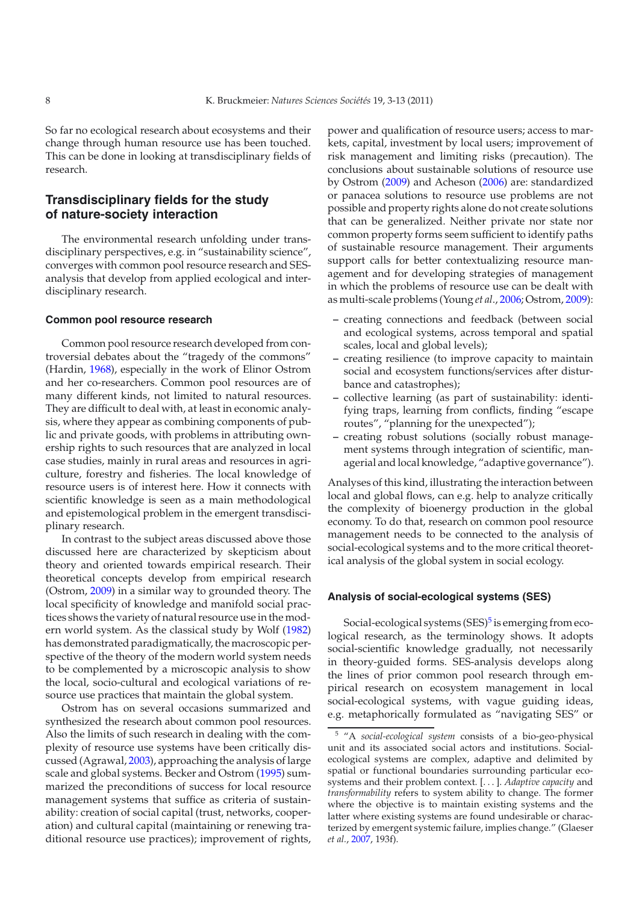So far no ecological research about ecosystems and their change through human resource use has been touched. This can be done in looking at transdisciplinary fields of research.

# **Transdisciplinary fields for the study of nature-society interaction**

The environmental research unfolding under transdisciplinary perspectives, e.g. in "sustainability science" converges with common pool resource research and SESanalysis that develop from applied ecological and interdisciplinary research.

#### **Common pool resource research**

Common pool resource research developed from controversial debates about the "tragedy of the commons" (Hardin, [1968\)](#page-9-30), especially in the work of Elinor Ostrom and her co-researchers. Common pool resources are of many different kinds, not limited to natural resources. They are difficult to deal with, at least in economic analysis, where they appear as combining components of public and private goods, with problems in attributing ownership rights to such resources that are analyzed in local case studies, mainly in rural areas and resources in agriculture, forestry and fisheries. The local knowledge of resource users is of interest here. How it connects with scientific knowledge is seen as a main methodological and epistemological problem in the emergent transdisciplinary research.

In contrast to the subject areas discussed above those discussed here are characterized by skepticism about theory and oriented towards empirical research. Their theoretical concepts develop from empirical research (Ostrom, [2009](#page-10-12)) in a similar way to grounded theory. The local specificity of knowledge and manifold social practices shows the variety of natural resource use in the modern world system. As the classical study by Wolf [\(1982\)](#page-10-9) has demonstrated paradigmatically, the macroscopic perspective of the theory of the modern world system needs to be complemented by a microscopic analysis to show the local, socio-cultural and ecological variations of resource use practices that maintain the global system.

Ostrom has on several occasions summarized and synthesized the research about common pool resources. Also the limits of such research in dealing with the complexity of resource use systems have been critically discussed (Agrawal, [2003\)](#page-9-31), approaching the analysis of large scale and global systems. Becker and Ostrom [\(1995](#page-9-32)) summarized the preconditions of success for local resource management systems that suffice as criteria of sustainability: creation of social capital (trust, networks, cooperation) and cultural capital (maintaining or renewing traditional resource use practices); improvement of rights,

power and qualification of resource users; access to markets, capital, investment by local users; improvement of risk management and limiting risks (precaution). The conclusions about sustainable solutions of resource use by Ostrom [\(2009\)](#page-10-12) and Acheson [\(2006\)](#page-9-33) are: standardized or panacea solutions to resource use problems are not possible and property rights alone do not create solutions that can be generalized. Neither private nor state nor common property forms seem sufficient to identify paths of sustainable resource management. Their arguments support calls for better contextualizing resource management and for developing strategies of management in which the problems of resource use can be dealt with as multi-scale problems (Young *et al*., [2006;](#page-10-13) Ostrom, [2009\)](#page-10-12):

- **–** creating connections and feedback (between social and ecological systems, across temporal and spatial scales, local and global levels);
- **–** creating resilience (to improve capacity to maintain social and ecosystem functions/services after disturbance and catastrophes);
- **–** collective learning (as part of sustainability: identifying traps, learning from conflicts, finding "escape routes", "planning for the unexpected");
- **–** creating robust solutions (socially robust management systems through integration of scientific, managerial and local knowledge, "adaptive governance").

Analyses of this kind, illustrating the interaction between local and global flows, can e.g. help to analyze critically the complexity of bioenergy production in the global economy. To do that, research on common pool resource management needs to be connected to the analysis of social-ecological systems and to the more critical theoretical analysis of the global system in social ecology.

### <span id="page-5-0"></span>**Analysis of social-ecological systems (SES)**

Social-ecological systems  $(SES)^5$  $(SES)^5$  is emerging from ecological research, as the terminology shows. It adopts social-scientific knowledge gradually, not necessarily in theory-guided forms. SES-analysis develops along the lines of prior common pool research through empirical research on ecosystem management in local social-ecological systems, with vague guiding ideas, e.g. metaphorically formulated as "navigating SES" or

<sup>5</sup> "A *social-ecological system* consists of a bio-geo-physical unit and its associated social actors and institutions. Socialecological systems are complex, adaptive and delimited by spatial or functional boundaries surrounding particular ecosystems and their problem context. [. . . ]. *Adaptive capacity* and *transformability* refers to system ability to change. The former where the objective is to maintain existing systems and the latter where existing systems are found undesirable or characterized by emergent systemic failure, implies change." (Glaeser *et al.*, [2007](#page-9-34), 193f).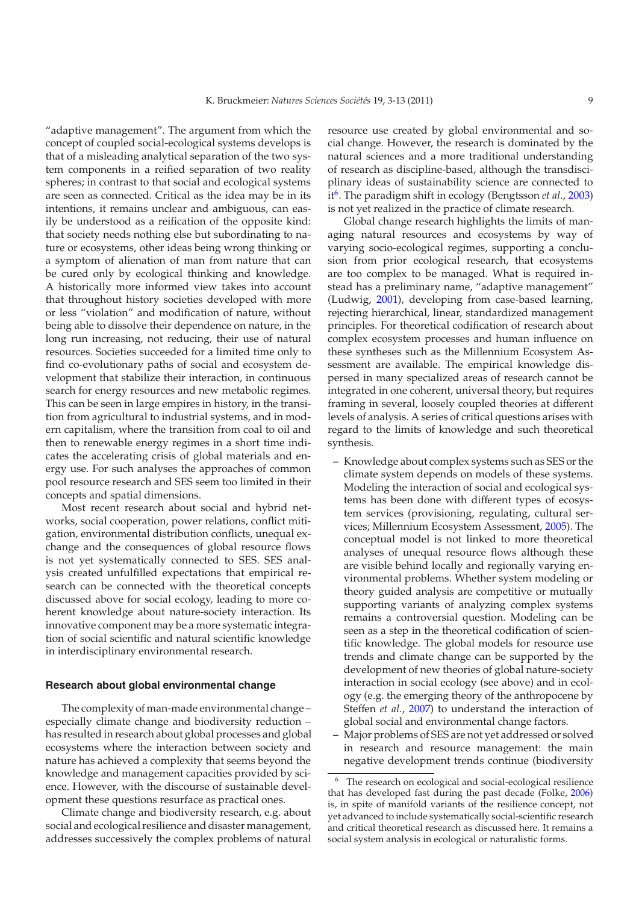"adaptive management". The argument from which the concept of coupled social-ecological systems develops is that of a misleading analytical separation of the two system components in a reified separation of two reality spheres; in contrast to that social and ecological systems are seen as connected. Critical as the idea may be in its intentions, it remains unclear and ambiguous, can easily be understood as a reification of the opposite kind: that society needs nothing else but subordinating to nature or ecosystems, other ideas being wrong thinking or a symptom of alienation of man from nature that can be cured only by ecological thinking and knowledge. A historically more informed view takes into account that throughout history societies developed with more or less "violation" and modification of nature, without being able to dissolve their dependence on nature, in the long run increasing, not reducing, their use of natural resources. Societies succeeded for a limited time only to find co-evolutionary paths of social and ecosystem development that stabilize their interaction, in continuous search for energy resources and new metabolic regimes. This can be seen in large empires in history, in the transition from agricultural to industrial systems, and in modern capitalism, where the transition from coal to oil and then to renewable energy regimes in a short time indicates the accelerating crisis of global materials and energy use. For such analyses the approaches of common pool resource research and SES seem too limited in their concepts and spatial dimensions.

Most recent research about social and hybrid networks, social cooperation, power relations, conflict mitigation, environmental distribution conflicts, unequal exchange and the consequences of global resource flows is not yet systematically connected to SES. SES analysis created unfulfilled expectations that empirical research can be connected with the theoretical concepts discussed above for social ecology, leading to more coherent knowledge about nature-society interaction. Its innovative component may be a more systematic integration of social scientific and natural scientific knowledge in interdisciplinary environmental research.

### **Research about global environmental change**

The complexity of man-made environmental change – especially climate change and biodiversity reduction – has resulted in research about global processes and global ecosystems where the interaction between society and nature has achieved a complexity that seems beyond the knowledge and management capacities provided by science. However, with the discourse of sustainable development these questions resurface as practical ones.

Climate change and biodiversity research, e.g. about social and ecological resilience and disaster management, addresses successively the complex problems of natural resource use created by global environmental and social change. However, the research is dominated by the natural sciences and a more traditional understanding of research as discipline-based, although the transdisciplinary ideas of sustainability science are connected to it<sup>6</sup>. The paradigm shift in ecology (Bengtsson *et al.*, [2003\)](#page-9-35) is not yet realized in the practice of climate research.

Global change research highlights the limits of managing natural resources and ecosystems by way of varying socio-ecological regimes, supporting a conclusion from prior ecological research, that ecosystems are too complex to be managed. What is required instead has a preliminary name, "adaptive management" (Ludwig, [2001\)](#page-9-36), developing from case-based learning, rejecting hierarchical, linear, standardized management principles. For theoretical codification of research about complex ecosystem processes and human influence on these syntheses such as the Millennium Ecosystem Assessment are available. The empirical knowledge dispersed in many specialized areas of research cannot be integrated in one coherent, universal theory, but requires framing in several, loosely coupled theories at different levels of analysis. A series of critical questions arises with regard to the limits of knowledge and such theoretical synthesis.

- **–** Knowledge about complex systems such as SES or the climate system depends on models of these systems. Modeling the interaction of social and ecological systems has been done with different types of ecosystem services (provisioning, regulating, cultural services; Millennium Ecosystem Assessment, [2005\)](#page-9-4). The conceptual model is not linked to more theoretical analyses of unequal resource flows although these are visible behind locally and regionally varying environmental problems. Whether system modeling or theory guided analysis are competitive or mutually supporting variants of analyzing complex systems remains a controversial question. Modeling can be seen as a step in the theoretical codification of scientific knowledge. The global models for resource use trends and climate change can be supported by the development of new theories of global nature-society interaction in social ecology (see above) and in ecology (e.g. the emerging theory of the anthropocene by Steffen *et al.*, [2007\)](#page-10-14) to understand the interaction of global social and environmental change factors.
- <span id="page-6-0"></span>**–** Major problems of SES are not yet addressed or solved in research and resource management: the main negative development trends continue (biodiversity

The research on ecological and social-ecological resilience that has developed fast during the past decade (Folke, [2006\)](#page-9-37) is, in spite of manifold variants of the resilience concept, not yet advanced to include systematically social-scientific research and critical theoretical research as discussed here. It remains a social system analysis in ecological or naturalistic forms.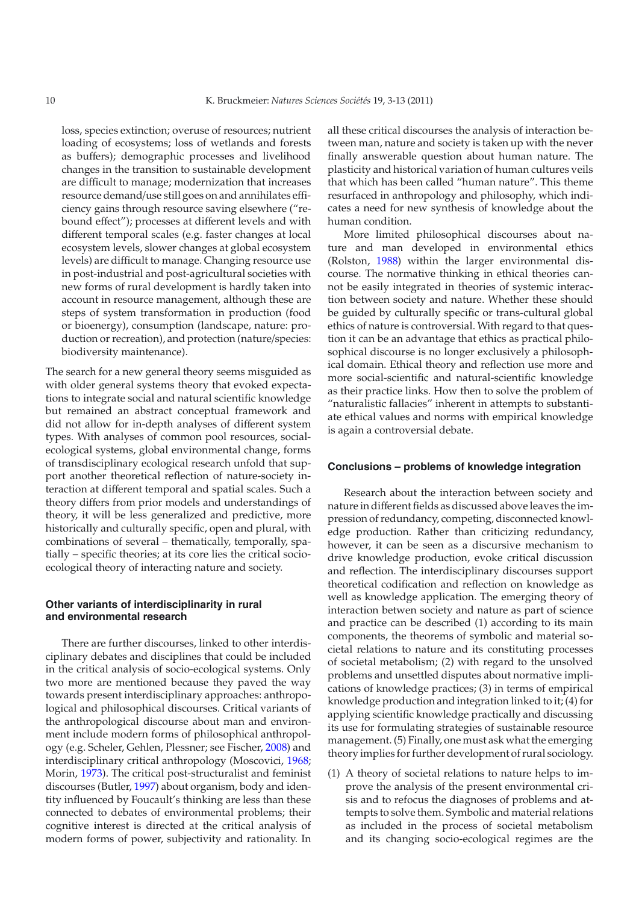loss, species extinction; overuse of resources; nutrient loading of ecosystems; loss of wetlands and forests as buffers); demographic processes and livelihood changes in the transition to sustainable development are difficult to manage; modernization that increases resource demand/use still goes on and annihilates efficiency gains through resource saving elsewhere ("rebound effect"); processes at different levels and with different temporal scales (e.g. faster changes at local ecosystem levels, slower changes at global ecosystem levels) are difficult to manage. Changing resource use in post-industrial and post-agricultural societies with new forms of rural development is hardly taken into account in resource management, although these are steps of system transformation in production (food or bioenergy), consumption (landscape, nature: production or recreation), and protection (nature/species: biodiversity maintenance).

The search for a new general theory seems misguided as with older general systems theory that evoked expectations to integrate social and natural scientific knowledge but remained an abstract conceptual framework and did not allow for in-depth analyses of different system types. With analyses of common pool resources, socialecological systems, global environmental change, forms of transdisciplinary ecological research unfold that support another theoretical reflection of nature-society interaction at different temporal and spatial scales. Such a theory differs from prior models and understandings of theory, it will be less generalized and predictive, more historically and culturally specific, open and plural, with combinations of several – thematically, temporally, spatially – specific theories; at its core lies the critical socioecological theory of interacting nature and society.

#### **Other variants of interdisciplinarity in rural and environmental research**

There are further discourses, linked to other interdisciplinary debates and disciplines that could be included in the critical analysis of socio-ecological systems. Only two more are mentioned because they paved the way towards present interdisciplinary approaches: anthropological and philosophical discourses. Critical variants of the anthropological discourse about man and environment include modern forms of philosophical anthropology (e.g. Scheler, Gehlen, Plessner; see Fischer, [2008\)](#page-9-38) and interdisciplinary critical anthropology (Moscovici, [1968;](#page-10-1) Morin, [1973\)](#page-10-15). The critical post-structuralist and feminist discourses (Butler, [1997\)](#page-9-39) about organism, body and identity influenced by Foucault's thinking are less than these connected to debates of environmental problems; their cognitive interest is directed at the critical analysis of modern forms of power, subjectivity and rationality. In all these critical discourses the analysis of interaction between man, nature and society is taken up with the never finally answerable question about human nature. The plasticity and historical variation of human cultures veils that which has been called "human nature". This theme resurfaced in anthropology and philosophy, which indicates a need for new synthesis of knowledge about the human condition.

More limited philosophical discourses about nature and man developed in environmental ethics (Rolston, [1988\)](#page-10-16) within the larger environmental discourse. The normative thinking in ethical theories cannot be easily integrated in theories of systemic interaction between society and nature. Whether these should be guided by culturally specific or trans-cultural global ethics of nature is controversial. With regard to that question it can be an advantage that ethics as practical philosophical discourse is no longer exclusively a philosophical domain. Ethical theory and reflection use more and more social-scientific and natural-scientific knowledge as their practice links. How then to solve the problem of "naturalistic fallacies" inherent in attempts to substantiate ethical values and norms with empirical knowledge is again a controversial debate.

#### **Conclusions – problems of knowledge integration**

Research about the interaction between society and nature in different fields as discussed above leaves the impression of redundancy, competing, disconnected knowledge production. Rather than criticizing redundancy, however, it can be seen as a discursive mechanism to drive knowledge production, evoke critical discussion and reflection. The interdisciplinary discourses support theoretical codification and reflection on knowledge as well as knowledge application. The emerging theory of interaction betwen society and nature as part of science and practice can be described (1) according to its main components, the theorems of symbolic and material societal relations to nature and its constituting processes of societal metabolism; (2) with regard to the unsolved problems and unsettled disputes about normative implications of knowledge practices; (3) in terms of empirical knowledge production and integration linked to it; (4) for applying scientific knowledge practically and discussing its use for formulating strategies of sustainable resource management. (5) Finally, one must ask what the emerging theory implies for further development of rural sociology.

(1) A theory of societal relations to nature helps to improve the analysis of the present environmental crisis and to refocus the diagnoses of problems and attempts to solve them. Symbolic and material relations as included in the process of societal metabolism and its changing socio-ecological regimes are the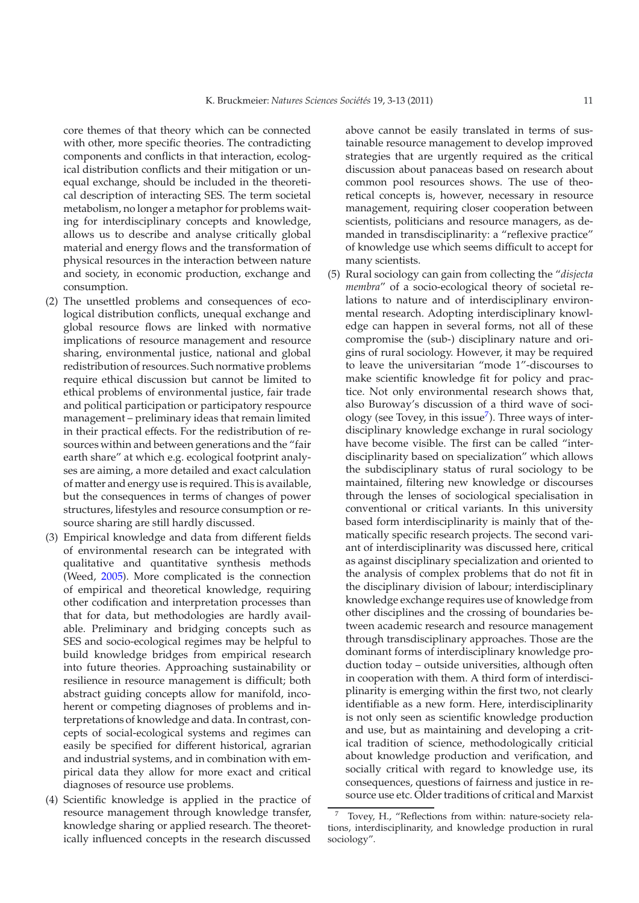core themes of that theory which can be connected with other, more specific theories. The contradicting components and conflicts in that interaction, ecological distribution conflicts and their mitigation or unequal exchange, should be included in the theoretical description of interacting SES. The term societal metabolism, no longer a metaphor for problems waiting for interdisciplinary concepts and knowledge, allows us to describe and analyse critically global material and energy flows and the transformation of physical resources in the interaction between nature and society, in economic production, exchange and consumption.

- (2) The unsettled problems and consequences of ecological distribution conflicts, unequal exchange and global resource flows are linked with normative implications of resource management and resource sharing, environmental justice, national and global redistribution of resources. Such normative problems require ethical discussion but cannot be limited to ethical problems of environmental justice, fair trade and political participation or participatory respource management – preliminary ideas that remain limited in their practical effects. For the redistribution of resources within and between generations and the "fair earth share" at which e.g. ecological footprint analyses are aiming, a more detailed and exact calculation of matter and energy use is required. This is available, but the consequences in terms of changes of power structures, lifestyles and resource consumption or resource sharing are still hardly discussed.
- (3) Empirical knowledge and data from different fields of environmental research can be integrated with qualitative and quantitative synthesis methods (Weed, [2005](#page-10-17)). More complicated is the connection of empirical and theoretical knowledge, requiring other codification and interpretation processes than that for data, but methodologies are hardly available. Preliminary and bridging concepts such as SES and socio-ecological regimes may be helpful to build knowledge bridges from empirical research into future theories. Approaching sustainability or resilience in resource management is difficult; both abstract guiding concepts allow for manifold, incoherent or competing diagnoses of problems and interpretations of knowledge and data. In contrast, concepts of social-ecological systems and regimes can easily be specified for different historical, agrarian and industrial systems, and in combination with empirical data they allow for more exact and critical diagnoses of resource use problems.
- (4) Scientific knowledge is applied in the practice of resource management through knowledge transfer, knowledge sharing or applied research. The theoretically influenced concepts in the research discussed

above cannot be easily translated in terms of sustainable resource management to develop improved strategies that are urgently required as the critical discussion about panaceas based on research about common pool resources shows. The use of theoretical concepts is, however, necessary in resource management, requiring closer cooperation between scientists, politicians and resource managers, as demanded in transdisciplinarity: a "reflexive practice" of knowledge use which seems difficult to accept for many scientists.

(5) Rural sociology can gain from collecting the "*disjecta membra*" of a socio-ecological theory of societal relations to nature and of interdisciplinary environmental research. Adopting interdisciplinary knowledge can happen in several forms, not all of these compromise the (sub-) disciplinary nature and origins of rural sociology. However, it may be required to leave the universitarian "mode 1"-discourses to make scientific knowledge fit for policy and practice. Not only environmental research shows that, also Buroway's discussion of a third wave of sociology (see Tovey, in this issue<sup>7</sup>). Three ways of interdisciplinary knowledge exchange in rural sociology have become visible. The first can be called "interdisciplinarity based on specialization" which allows the subdisciplinary status of rural sociology to be maintained, filtering new knowledge or discourses through the lenses of sociological specialisation in conventional or critical variants. In this university based form interdisciplinarity is mainly that of thematically specific research projects. The second variant of interdisciplinarity was discussed here, critical as against disciplinary specialization and oriented to the analysis of complex problems that do not fit in the disciplinary division of labour; interdisciplinary knowledge exchange requires use of knowledge from other disciplines and the crossing of boundaries between academic research and resource management through transdisciplinary approaches. Those are the dominant forms of interdisciplinary knowledge production today – outside universities, although often in cooperation with them. A third form of interdisciplinarity is emerging within the first two, not clearly identifiable as a new form. Here, interdisciplinarity is not only seen as scientific knowledge production and use, but as maintaining and developing a critical tradition of science, methodologically criticial about knowledge production and verification, and socially critical with regard to knowledge use, its consequences, questions of fairness and justice in resource use etc. Older traditions of critical and Marxist

<span id="page-8-0"></span><sup>7</sup> Tovey, H., "Reflections from within: nature-society relations, interdisciplinarity, and knowledge production in rural sociology".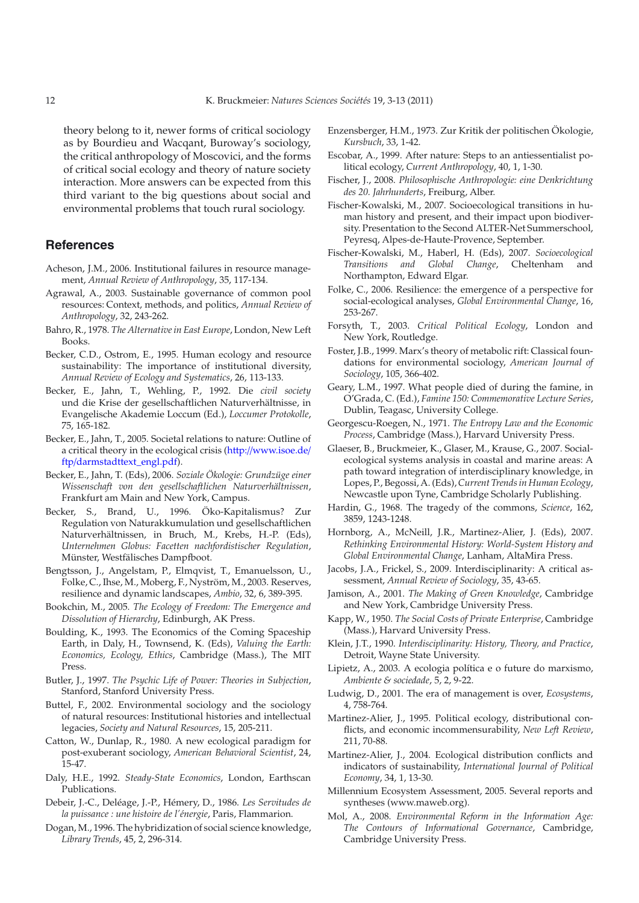theory belong to it, newer forms of critical sociology as by Bourdieu and Wacqant, Buroway's sociology, the critical anthropology of Moscovici, and the forms of critical social ecology and theory of nature society interaction. More answers can be expected from this third variant to the big questions about social and environmental problems that touch rural sociology.

### **References**

- <span id="page-9-33"></span>Acheson, J.M., 2006. Institutional failures in resource management, *Annual Review of Anthropology*, 35, 117-134.
- <span id="page-9-31"></span>Agrawal, A., 2003. Sustainable governance of common pool resources: Context, methods, and politics, *Annual Review of Anthropology*, 32, 243-262.
- <span id="page-9-26"></span>Bahro, R., 1978. *The Alternative in East Europe*, London, New Left Books.
- <span id="page-9-32"></span>Becker, C.D., Ostrom, E., 1995. Human ecology and resource sustainability: The importance of institutional diversity, *Annual Review of Ecology and Systematics*, 26, 113-133.
- <span id="page-9-20"></span>Becker, E., Jahn, T., Wehling, P., 1992. Die *civil society* und die Krise der gesellschaftlichen Naturverhältnisse, in Evangelische Akademie Loccum (Ed.), *Loccumer Protokolle*, 75, 165-182.
- <span id="page-9-9"></span>Becker, E., Jahn, T., 2005. Societal relations to nature: Outline of a critical theory in the ecological crisis (http://[www.isoe.de](http://www.isoe.de/ftp/darmstadttext_engl.pdf)/ ftp/[darmstadttext\\_engl.pdf\)](http://www.isoe.de/ftp/darmstadttext_engl.pdf).
- <span id="page-9-10"></span>Becker, E., Jahn, T. (Eds), 2006. *Soziale Ökologie: Grundzüge einer Wissenschaft von den gesellschaftlichen Naturverhältnissen*, Frankfurt am Main and New York, Campus.
- <span id="page-9-27"></span>Becker, S., Brand, U., 1996. Öko-Kapitalismus? Zur Regulation von Naturakkumulation und gesellschaftlichen Naturverhältnissen, in Bruch, M., Krebs, H.-P. (Eds), *Unternehmen Globus: Facetten nachfordistischer Regulation*, Münster, Westfälisches Dampfboot.
- <span id="page-9-35"></span>Bengtsson, J., Angelstam, P., Elmqvist, T., Emanuelsson, U., Folke, C., Ihse, M., Moberg, F., Nyström, M., 2003. Reserves, resilience and dynamic landscapes, *Ambio*, 32, 6, 389-395.
- <span id="page-9-19"></span>Bookchin, M., 2005. *The Ecology of Freedom: The Emergence and Dissolution of Hierarchy*, Edinburgh, AK Press.
- <span id="page-9-14"></span>Boulding, K., 1993. The Economics of the Coming Spaceship Earth, in Daly, H., Townsend, K. (Eds), *Valuing the Earth: Economics, Ecology, Ethics*, Cambridge (Mass.), The MIT Press.
- <span id="page-9-39"></span>Butler, J., 1997. *The Psychic Life of Power: Theories in Subjection*, Stanford, Stanford University Press.
- <span id="page-9-5"></span>Buttel, F., 2002. Environmental sociology and the sociology of natural resources: Institutional histories and intellectual legacies, *Society and Natural Resources*, 15, 205-211.
- <span id="page-9-6"></span>Catton, W., Dunlap, R., 1980. A new ecological paradigm for post-exuberant sociology, *American Behavioral Scientist*, 24, 15-47.
- <span id="page-9-15"></span>Daly, H.E., 1992. *Steady-State Economics*, London, Earthscan Publications.
- <span id="page-9-29"></span>Debeir, J.-C., Deléage, J.-P., Hémery, D., 1986. *Les Servitudes de la puissance : une histoire de l'énergie*, Paris, Flammarion.
- <span id="page-9-2"></span>Dogan, M., 1996. The hybridization of social science knowledge, *Library Trends*, 45, 2, 296-314.
- <span id="page-9-25"></span>Enzensberger, H.M., 1973. Zur Kritik der politischen Ökologie, *Kursbuch*, 33, 1-42.
- <span id="page-9-23"></span>Escobar, A., 1999. After nature: Steps to an antiessentialist political ecology, *Current Anthropology*, 40, 1, 1-30.
- <span id="page-9-38"></span>Fischer, J., 2008. *Philosophische Anthropologie: eine Denkrichtung des 20. Jahrhunderts*, Freiburg, Alber.
- <span id="page-9-28"></span>Fischer-Kowalski, M., 2007. Socioecological transitions in human history and present, and their impact upon biodiversity. Presentation to the Second ALTER-Net Summerschool, Peyresq, Alpes-de-Haute-Provence, September.
- <span id="page-9-21"></span>Fischer-Kowalski, M., Haberl, H. (Eds), 2007. *Socioecological* **Transitions** and Global Change, Cheltenham Northampton, Edward Elgar.
- <span id="page-9-37"></span>Folke, C., 2006. Resilience: the emergence of a perspective for social-ecological analyses, *Global Environmental Change*, 16, 253-267.
- <span id="page-9-22"></span>Forsyth, T., 2003. *Critical Political Ecology*, London and New York, Routledge.
- <span id="page-9-7"></span>Foster, J.B., 1999. Marx's theory of metabolic rift: Classical foundations for environmental sociology, *American Journal of Sociology*, 105, 366-402.
- <span id="page-9-11"></span>Geary, L.M., 1997. What people died of during the famine, in O'Grada, C. (Ed.), *Famine 150: Commemorative Lecture Series*, Dublin, Teagasc, University College.
- <span id="page-9-13"></span>Georgescu-Roegen, N., 1971. *The Entropy Law and the Economic Process*, Cambridge (Mass.), Harvard University Press.
- <span id="page-9-34"></span>Glaeser, B., Bruckmeier, K., Glaser, M., Krause, G., 2007. Socialecological systems analysis in coastal and marine areas: A path toward integration of interdisciplinary knowledge, in Lopes, P., Begossi, A. (Eds),*Current Trends in Human Ecology*, Newcastle upon Tyne, Cambridge Scholarly Publishing.
- <span id="page-9-30"></span>Hardin, G., 1968. The tragedy of the commons, *Science*, 162, 3859, 1243-1248.
- <span id="page-9-18"></span>Hornborg, A., McNeill, J.R., Martinez-Alier, J. (Eds), 2007. *Rethinking Environmental History: World-System History and Global Environmental Change*, Lanham, AltaMira Press.
- <span id="page-9-3"></span>Jacobs, J.A., Frickel, S., 2009. Interdisciplinarity: A critical assessment, *Annual Review of Sociology*, 35, 43-65.
- <span id="page-9-1"></span>Jamison, A., 2001. *The Making of Green Knowledge*, Cambridge and New York, Cambridge University Press.
- <span id="page-9-12"></span>Kapp, W., 1950. *The Social Costs of Private Enterprise*, Cambridge (Mass.), Harvard University Press.
- <span id="page-9-0"></span>Klein, J.T., 1990. *Interdisciplinarity: History, Theory, and Practice*, Detroit, Wayne State University.
- <span id="page-9-24"></span>Lipietz, A., 2003. A ecologia política e o future do marxismo, *Ambiente & sociedade*, 5, 2, 9-22.
- <span id="page-9-36"></span>Ludwig, D., 2001. The era of management is over, *Ecosystems*, 4, 758-764.
- <span id="page-9-16"></span>Martinez-Alier, J., 1995. Political ecology, distributional conflicts, and economic incommensurability, *New Left Review*, 211, 70-88.
- <span id="page-9-17"></span>Martinez-Alier, J., 2004. Ecological distribution conflicts and indicators of sustainability, *International Journal of Political Economy*, 34, 1, 13-30.
- <span id="page-9-4"></span>Millennium Ecosystem Assessment, 2005. Several reports and syntheses (www.maweb.org).
- <span id="page-9-8"></span>Mol, A., 2008. *Environmental Reform in the Information Age: The Contours of Informational Governance*, Cambridge, Cambridge University Press.